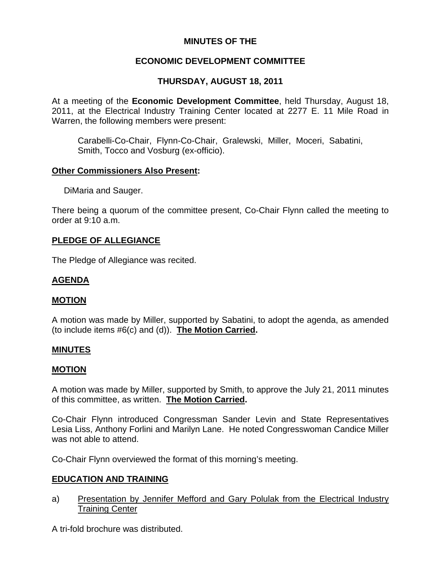# **MINUTES OF THE**

# **ECONOMIC DEVELOPMENT COMMITTEE**

# **THURSDAY, AUGUST 18, 2011**

At a meeting of the **Economic Development Committee**, held Thursday, August 18, 2011, at the Electrical Industry Training Center located at 2277 E. 11 Mile Road in Warren, the following members were present:

Carabelli-Co-Chair, Flynn-Co-Chair, Gralewski, Miller, Moceri, Sabatini, Smith, Tocco and Vosburg (ex-officio).

#### **Other Commissioners Also Present:**

DiMaria and Sauger.

There being a quorum of the committee present, Co-Chair Flynn called the meeting to order at 9:10 a.m.

## **PLEDGE OF ALLEGIANCE**

The Pledge of Allegiance was recited.

## **AGENDA**

## **MOTION**

A motion was made by Miller, supported by Sabatini, to adopt the agenda, as amended (to include items #6(c) and (d)). **The Motion Carried.** 

#### **MINUTES**

#### **MOTION**

A motion was made by Miller, supported by Smith, to approve the July 21, 2011 minutes of this committee, as written. **The Motion Carried.** 

Co-Chair Flynn introduced Congressman Sander Levin and State Representatives Lesia Liss, Anthony Forlini and Marilyn Lane. He noted Congresswoman Candice Miller was not able to attend.

Co-Chair Flynn overviewed the format of this morning's meeting.

## **EDUCATION AND TRAINING**

a) Presentation by Jennifer Mefford and Gary Polulak from the Electrical Industry Training Center

A tri-fold brochure was distributed.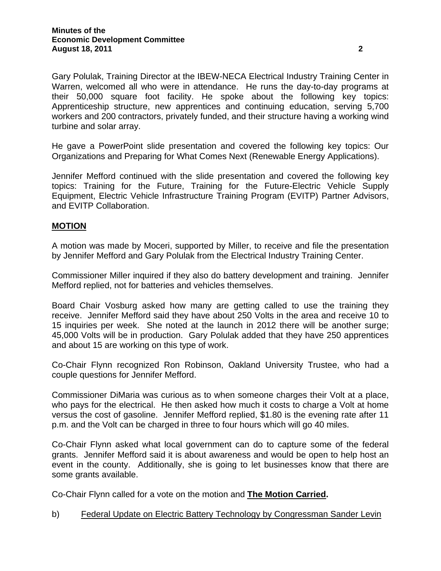Gary Polulak, Training Director at the IBEW-NECA Electrical Industry Training Center in Warren, welcomed all who were in attendance. He runs the day-to-day programs at their 50,000 square foot facility. He spoke about the following key topics: Apprenticeship structure, new apprentices and continuing education, serving 5,700 workers and 200 contractors, privately funded, and their structure having a working wind turbine and solar array.

He gave a PowerPoint slide presentation and covered the following key topics: Our Organizations and Preparing for What Comes Next (Renewable Energy Applications).

Jennifer Mefford continued with the slide presentation and covered the following key topics: Training for the Future, Training for the Future-Electric Vehicle Supply Equipment, Electric Vehicle Infrastructure Training Program (EVITP) Partner Advisors, and EVITP Collaboration.

## **MOTION**

A motion was made by Moceri, supported by Miller, to receive and file the presentation by Jennifer Mefford and Gary Polulak from the Electrical Industry Training Center.

Commissioner Miller inquired if they also do battery development and training. Jennifer Mefford replied, not for batteries and vehicles themselves.

Board Chair Vosburg asked how many are getting called to use the training they receive. Jennifer Mefford said they have about 250 Volts in the area and receive 10 to 15 inquiries per week. She noted at the launch in 2012 there will be another surge; 45,000 Volts will be in production. Gary Polulak added that they have 250 apprentices and about 15 are working on this type of work.

Co-Chair Flynn recognized Ron Robinson, Oakland University Trustee, who had a couple questions for Jennifer Mefford.

Commissioner DiMaria was curious as to when someone charges their Volt at a place, who pays for the electrical. He then asked how much it costs to charge a Volt at home versus the cost of gasoline. Jennifer Mefford replied, \$1.80 is the evening rate after 11 p.m. and the Volt can be charged in three to four hours which will go 40 miles.

Co-Chair Flynn asked what local government can do to capture some of the federal grants. Jennifer Mefford said it is about awareness and would be open to help host an event in the county. Additionally, she is going to let businesses know that there are some grants available.

Co-Chair Flynn called for a vote on the motion and **The Motion Carried.** 

b) Federal Update on Electric Battery Technology by Congressman Sander Levin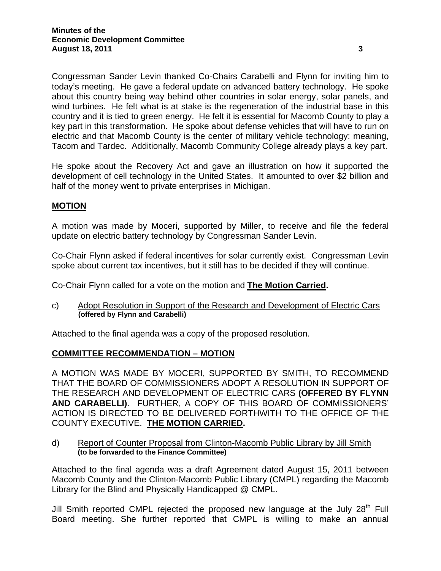Congressman Sander Levin thanked Co-Chairs Carabelli and Flynn for inviting him to today's meeting. He gave a federal update on advanced battery technology. He spoke about this country being way behind other countries in solar energy, solar panels, and wind turbines. He felt what is at stake is the regeneration of the industrial base in this country and it is tied to green energy. He felt it is essential for Macomb County to play a key part in this transformation. He spoke about defense vehicles that will have to run on electric and that Macomb County is the center of military vehicle technology: meaning, Tacom and Tardec. Additionally, Macomb Community College already plays a key part.

He spoke about the Recovery Act and gave an illustration on how it supported the development of cell technology in the United States. It amounted to over \$2 billion and half of the money went to private enterprises in Michigan.

## **MOTION**

A motion was made by Moceri, supported by Miller, to receive and file the federal update on electric battery technology by Congressman Sander Levin.

Co-Chair Flynn asked if federal incentives for solar currently exist. Congressman Levin spoke about current tax incentives, but it still has to be decided if they will continue.

Co-Chair Flynn called for a vote on the motion and **The Motion Carried.** 

c) Adopt Resolution in Support of the Research and Development of Electric Cars **(offered by Flynn and Carabelli)** 

Attached to the final agenda was a copy of the proposed resolution.

## **COMMITTEE RECOMMENDATION – MOTION**

A MOTION WAS MADE BY MOCERI, SUPPORTED BY SMITH, TO RECOMMEND THAT THE BOARD OF COMMISSIONERS ADOPT A RESOLUTION IN SUPPORT OF THE RESEARCH AND DEVELOPMENT OF ELECTRIC CARS **(OFFERED BY FLYNN AND CARABELLI)**. FURTHER, A COPY OF THIS BOARD OF COMMISSIONERS' ACTION IS DIRECTED TO BE DELIVERED FORTHWITH TO THE OFFICE OF THE COUNTY EXECUTIVE. **THE MOTION CARRIED.** 

d) Report of Counter Proposal from Clinton-Macomb Public Library by Jill Smith  **(to be forwarded to the Finance Committee)** 

Attached to the final agenda was a draft Agreement dated August 15, 2011 between Macomb County and the Clinton-Macomb Public Library (CMPL) regarding the Macomb Library for the Blind and Physically Handicapped @ CMPL.

Jill Smith reported CMPL rejected the proposed new language at the July  $28<sup>th</sup>$  Full Board meeting. She further reported that CMPL is willing to make an annual